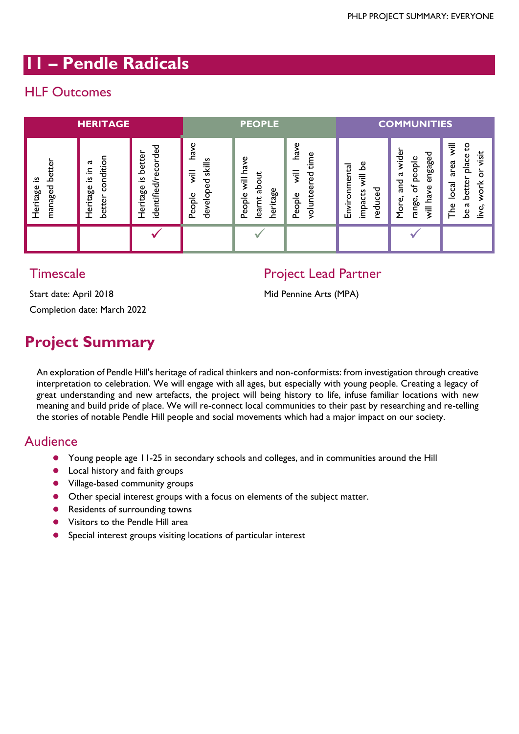## **11 – Pendle Radicals**

## HLF Outcomes

| <b>HERITAGE</b>                     |                                                         |                                                           | <b>PEOPLE</b>                                                          |                                                                         |                                                            | <b>COMMUNITIES</b>                                                          |                                                                                                            |                                                                                                                                                         |
|-------------------------------------|---------------------------------------------------------|-----------------------------------------------------------|------------------------------------------------------------------------|-------------------------------------------------------------------------|------------------------------------------------------------|-----------------------------------------------------------------------------|------------------------------------------------------------------------------------------------------------|---------------------------------------------------------------------------------------------------------------------------------------------------------|
| better<br>.≌<br>managed<br>Heritage | condition<br>ದ<br>크.<br><u>ِي</u><br>Heritage<br>better | ecorded<br>better<br>identified/r<br>s<br>$-$<br>Heritage | have<br>skills<br>$\overline{\overline{z}}$<br>᠊ᠣ<br>develop<br>People | have<br>$\overline{\overline{z}}$<br>ನಿ<br>heritage<br>People<br>learnt | have<br>e<br>Φ<br>$\overline{3}$<br>ھ<br>volunte<br>People | ه<br>Environmental<br>$\overline{5}$<br>ಕೆ<br>ដ<br>ں<br>impa<br>っ<br>ত<br>Φ | wider<br>engaged<br>people<br>ದ<br><b>Dug</b><br>৳<br>have<br>range,<br>More,<br>$\overline{\overline{5}}$ | $\overline{\overline{5}}$<br>S<br>visit<br>place<br>area<br>O<br>better<br>$\breve{\sigma}$<br>$\overline{a}$<br>ದ<br>The<br>$\bullet$<br>ii∕e<br><br>ഉ |
|                                     |                                                         |                                                           |                                                                        |                                                                         |                                                            |                                                                             |                                                                                                            |                                                                                                                                                         |

### **Timescale**

### Project Lead Partner

Start date: April 2018 Completion date: March 2022 Mid Pennine Arts (MPA)

# **Project Summary**

An exploration of Pendle Hill's heritage of radical thinkers and non-conformists: from investigation through creative interpretation to celebration. We will engage with all ages, but especially with young people. Creating a legacy of great understanding and new artefacts, the project will being history to life, infuse familiar locations with new meaning and build pride of place. We will re-connect local communities to their past by researching and re-telling the stories of notable Pendle Hill people and social movements which had a major impact on our society.

#### Audience

- Young people age 11-25 in secondary schools and colleges, and in communities around the Hill
- **•** Local history and faith groups
- Village-based community groups
- Other special interest groups with a focus on elements of the subject matter.
- **•** Residents of surrounding towns
- **•** Visitors to the Pendle Hill area
- Special interest groups visiting locations of particular interest